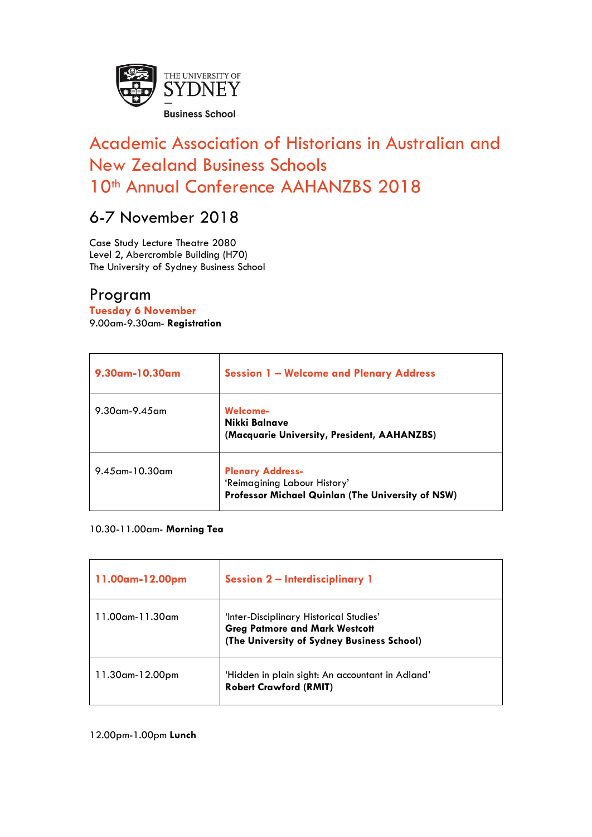

# Academic Association of Historians in Australian and New Zealand Business Schools 10<sup>th</sup> Annual Conference AAHANZBS 2018

## 6-7 November 2018

Case Study Lecture Theatre 2080 Level 2, Abercrombie Building (H70) The University of Sydney Business School

## Program

**Tuesday 6 November** 9.00am-9.30am- **Registration**

| 9.30am-10.30am       | <b>Session 1 - Welcome and Plenary Address</b>                                                                      |
|----------------------|---------------------------------------------------------------------------------------------------------------------|
| $9.30$ am- $9.45$ am | Welcome-<br>Nikki Balnave<br>(Macquarie University, President, AAHANZBS)                                            |
| 9.45 am - 10.30 am   | <b>Plenary Address-</b><br>'Reimagining Labour History'<br><b>Professor Michael Quinlan (The University of NSW)</b> |

#### 10.30-11.00am- **Morning Tea**

| 11.00am-12.00pm  | <b>Session 2-Interdisciplinary 1</b>                                                                                           |
|------------------|--------------------------------------------------------------------------------------------------------------------------------|
| l 1.00am-11.30am | 'Inter-Disciplinary Historical Studies'<br><b>Greg Patmore and Mark Westcott</b><br>(The University of Sydney Business School) |
| 11.30am-12.00pm  | 'Hidden in plain sight: An accountant in Adland'<br><b>Robert Crawford (RMIT)</b>                                              |

#### 12.00pm-1.00pm **Lunch**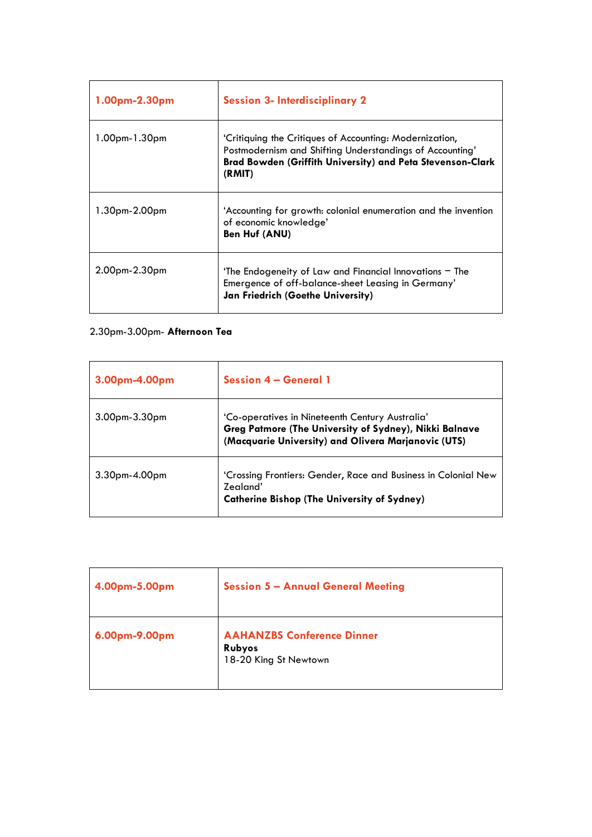| 1.00pm-2.30pm | <b>Session 3- Interdisciplinary 2</b>                                                                                                                                                       |
|---------------|---------------------------------------------------------------------------------------------------------------------------------------------------------------------------------------------|
| 1.00pm-1.30pm | 'Critiquing the Critiques of Accounting: Modernization,<br>Postmodernism and Shifting Understandings of Accounting'<br>Brad Bowden (Griffith University) and Peta Stevenson-Clark<br>(RMIT) |
| 1.30pm-2.00pm | 'Accounting for growth: colonial enumeration and the invention<br>of economic knowledge'<br><b>Ben Huf (ANU)</b>                                                                            |
| 2.00pm-2.30pm | 'The Endogeneity of Law and Financial Innovations - The<br>Emergence of off-balance-sheet Leasing in Germany'<br>Jan Friedrich (Goethe University)                                          |

## 2.30pm-3.00pm- **Afternoon Tea**

| 3.00pm-4.00pm   | <b>Session 4 - General 1</b>                                                                                                                                     |
|-----------------|------------------------------------------------------------------------------------------------------------------------------------------------------------------|
| 3.00pm-3.30pm   | 'Co-operatives in Nineteenth Century Australia'<br>Greg Patmore (The University of Sydney), Nikki Balnave<br>(Macquarie University) and Olivera Marjanovic (UTS) |
| $3.30pm-4.00pm$ | 'Crossing Frontiers: Gender, Race and Business in Colonial New<br>Zealand'<br><b>Catherine Bishop (The University of Sydney)</b>                                 |

| 4.00pm-5.00pm | <b>Session 5 - Annual General Meeting</b>                            |
|---------------|----------------------------------------------------------------------|
| 6.00pm-9.00pm | <b>AAHANZBS Conference Dinner</b><br>Rubyos<br>18-20 King St Newtown |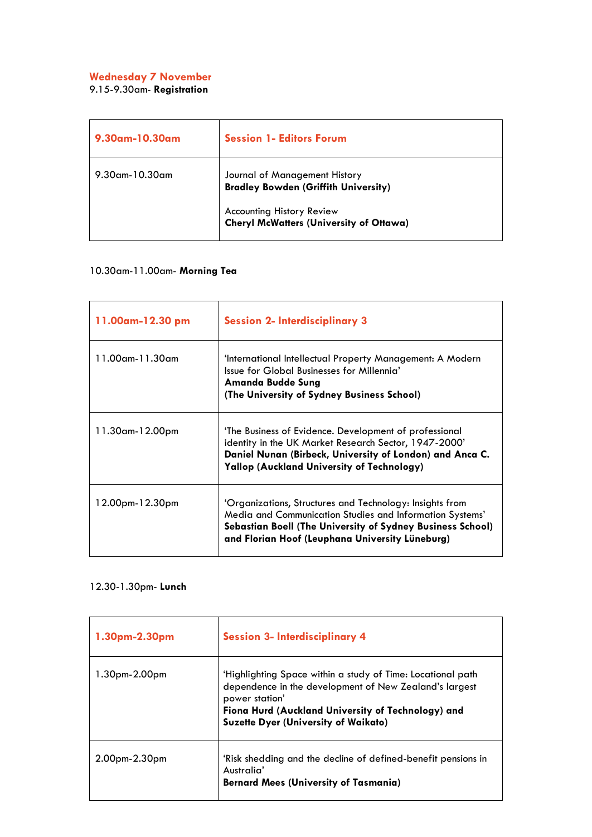#### **Wednesday 7 November**

9.15-9.30am- **Registration**

| 9.30am-10.30am    | <b>Session 1- Editors Forum</b>                                                                                                                                    |
|-------------------|--------------------------------------------------------------------------------------------------------------------------------------------------------------------|
| $9.30$ am-10.30am | Journal of Management History<br><b>Bradley Bowden (Griffith University)</b><br><b>Accounting History Review</b><br><b>Cheryl McWatters (University of Ottawa)</b> |

## 10.30am-11.00am- **Morning Tea**

| 11.00am-12.30 pm       | <b>Session 2- Interdisciplinary 3</b>                                                                                                                                                                                                 |
|------------------------|---------------------------------------------------------------------------------------------------------------------------------------------------------------------------------------------------------------------------------------|
| $11.00$ am- $11.30$ am | 'International Intellectual Property Management: A Modern<br>Issue for Global Businesses for Millennia'<br>Amanda Budde Sung<br>(The University of Sydney Business School)                                                            |
| 11.30am-12.00pm        | 'The Business of Evidence. Development of professional<br>identity in the UK Market Research Sector, 1947-2000'<br>Daniel Nunan (Birbeck, University of London) and Anca C.<br>Yallop (Auckland University of Technology)             |
| 12.00pm-12.30pm        | 'Organizations, Structures and Technology: Insights from<br>Media and Communication Studies and Information Systems'<br>Sebastian Boell (The University of Sydney Business School)<br>and Florian Hoof (Leuphana University Lüneburg) |

#### 12.30-1.30pm- **Lunch**

| 1.30pm-2.30pm   | <b>Session 3- Interdisciplinary 4</b>                                                                                                                                                                                                        |
|-----------------|----------------------------------------------------------------------------------------------------------------------------------------------------------------------------------------------------------------------------------------------|
| 1.30pm-2.00pm   | 'Highlighting Space within a study of Time: Locational path<br>dependence in the development of New Zealand's largest<br>power station'<br>Fiona Hurd (Auckland University of Technology) and<br><b>Suzette Dyer (University of Waikato)</b> |
| $2.00pm-2.30pm$ | 'Risk shedding and the decline of defined-benefit pensions in<br>Australia'<br><b>Bernard Mees (University of Tasmania)</b>                                                                                                                  |